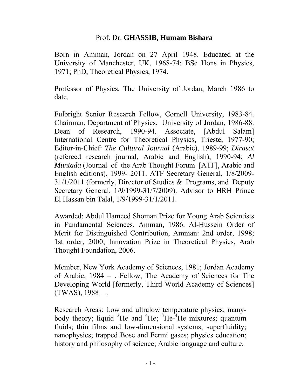# Prof. Dr. **GHASSIB, Humam Bishara**

Born in Amman, Jordan on 27 April 1948. Educated at the University of Manchester, UK, 1968-74: BSc Hons in Physics, 1971; PhD, Theoretical Physics, 1974.

Professor of Physics, The University of Jordan, March 1986 to date.

Fulbright Senior Research Fellow, Cornell University, 1983-84. Chairman, Department of Physics, University of Jordan, 1986-88. Dean of Research, 1990-94. Associate, [Abdul Salam] International Centre for Theoretical Physics, Trieste, 1977-90; Editor-in-Chief: *The Cultural Journal* (Arabic), 1989-99; *Dirasat* (refereed research journal, Arabic and English), 1990-94; *Al Muntada* (Journal of the Arab Thought Forum [ATF], Arabic and English editions), 1999- 2011. ATF Secretary General, 1/8/2009- 31/1/2011 (formerly, Director of Studies & Programs, and Deputy Secretary General, 1/9/1999-31/7/2009). Advisor to HRH Prince El Hassan bin Talal, 1/9/1999-31/1/2011.

Awarded: Abdul Hameed Shoman Prize for Young Arab Scientists in Fundamental Sciences, Amman, 1986. Al-Hussein Order of Merit for Distinguished Contribution, Amman: 2nd order, 1998; 1st order, 2000; Innovation Prize in Theoretical Physics, Arab Thought Foundation, 2006.

Member, New York Academy of Sciences, 1981; Jordan Academy of Arabic, 1984 – . Fellow, The Academy of Sciences for The Developing World [formerly, Third World Academy of Sciences]  $(TWAS), 1988 - .$ 

Research Areas: Low and ultralow temperature physics; manybody theory; liquid  ${}^{3}$ He and  ${}^{4}$ He;  ${}^{3}$ He- ${}^{4}$ He mixtures; quantum fluids; thin films and low-dimensional systems; superfluidity; nanophysics; trapped Bose and Fermi gases; physics education; history and philosophy of science; Arabic language and culture.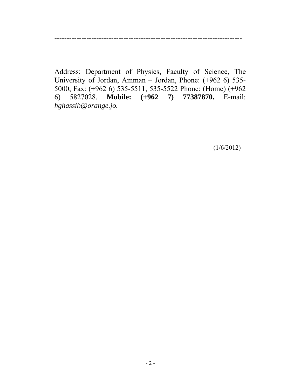----------------------------------------------------------------------------

Address: Department of Physics, Faculty of Science, The University of Jordan, Amman – Jordan, Phone: (+962 6) 535- 5000, Fax: (+962 6) 535-5511, 535-5522 Phone: (Home) (+962 6) 5827028. **Mobile: (+962 7) 77387870.** E-mail: *hghassib@orange.jo.*

(1/6/2012)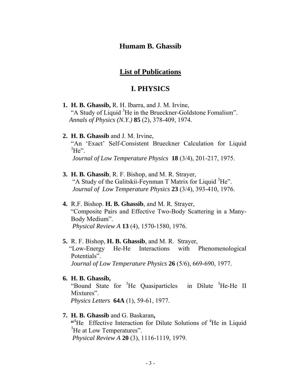## **Humam B. Ghassib**

# **List of Publications**

# **I. PHYSICS**

- **1. H. B. Ghassib,** R. H. Ibarra, and J. M. Irvine, "A Study of Liquid <sup>3</sup>He in the Brueckner-Goldstone Fomalism". *Annals of Physics (N.Y.)* **85** (2), 378-409, 1974.
- **2. H. B. Ghassib** and J. M. Irvine, "An 'Exact' Self-Consistent Brueckner Calculation for Liquid  ${}^{3}He$ ". *Journal of Low Temperature Physics* **18** (3/4), 201-217, 1975.
- **3. H. B. Ghassib**, R. F. Bishop, and M. R. Strayer, "A Study of the Galitskii-Feynman T Matrix for Liquid <sup>3</sup>He". *Journal of Low Temperature Physics* **23** (3/4), 393-410, 1976.
- **4.** R.F. Bishop. **H. B. Ghassib**, and M. R. Strayer, "Composite Pairs and Effective Two-Body Scattering in a Many-Body Medium".  *Physical Review A* **13** (4), 1570-1580, 1976.
- **5.** R. F. Bishop, **H. B. Ghassib**, and M. R. Strayer, "Low-Energy He-He Interactions with Phenomenological Potentials". *Journal of Low Temperature Physics* **26** (5/6), 669-690, 1977.
- **6. H. B. Ghassib,**

"Bound State for <sup>3</sup>He Quasiparticles in Dilute <sup>3</sup>He-He II Mixtures".

 *Physics Letters* **64A** (1), 59-61, 1977.

**7. H. B. Ghassib** and G. Baskaran**,**

<sup>44</sup>He Effective Interaction for Dilute Solutions of <sup>4</sup>He in Liquid <sup>3</sup>He at Low Temperatures".  *Physical Review A* **20** (3), 1116-1119, 1979.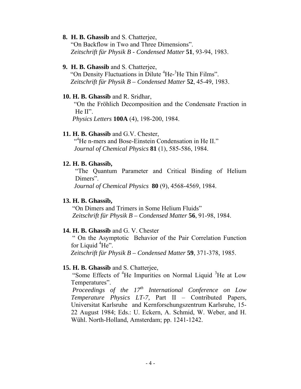#### **8. H. B. Ghassib** and S. Chatterjee,

 "On Backflow in Two and Three Dimensions". *Zeitschrift für Physik B - Condensed Matter* **51**, 93-94, 1983.

#### **9. H. B. Ghassib** and S. Chatterjee,

"On Density Fluctuations in Dilute <sup>4</sup>He-<sup>3</sup>He Thin Films".  *Zeitschrift für Physik B – Condensed Matter* **52**, 45-49, 1983.

#### **10. H. B. Ghassib** and R. Sridhar,

 "On the Fröhlich Decomposition and the Condensate Fraction in He II".

 *Physics Letters* **100A** (4), 198-200, 1984.

### **11. H. B. Ghassib** and G.V. Chester,

 "<sup>4</sup> He n-mers and Bose-Einstein Condensation in He II." *Journal of Chemical Physics* **81** (1), 585-586, 1984.

### **12. H. B. Ghassib,**

"The Quantum Parameter and Critical Binding of Helium Dimers".

 *Journal of Chemical Physics* **80** (9), 4568-4569, 1984.

### **13. H. B. Ghassib,**

 "On Dimers and Trimers in Some Helium Fluids"  *Zeitschrift für Physik B – Condensed Matter* **56**, 91-98, 1984.

## **14. H. B. Ghassib** and G. V. Chester

 " On the Asymptotic Behavior of the Pair Correlation Function for Liquid <sup>4</sup>He". *Zeitschrift für Physik B – Condensed Matter* **59**, 371-378, 1985.

### **15. H. B. Ghassib** and S. Chatterjee,

"Some Effects of <sup>4</sup>He Impurities on Normal Liquid <sup>3</sup>He at Low Temperatures".

*Proceedings of the 17<sup>th</sup> International Conference on Low Temperature Physics LT-7,* Part II – Contributed Papers, Universitat Karlsruhe and Kernforschungszentrum Karlsruhe, 15- 22 August 1984; Eds.: U. Eckern, A. Schmid, W. Weber, and H. Wühl. North-Holland, Amsterdam; pp. 1241-1242.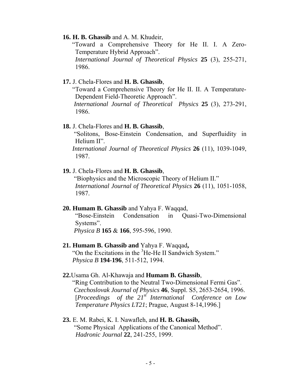#### **16. H. B. Ghassib** and A. M. Khudeir,

 "Toward a Comprehensive Theory for He II. I. A Zero-Temperature Hybrid Approach". *International Journal of Theoretical Physics* **25** (3), 255-271, 1986.

### **17.** J. Chela-Flores and **H. B. Ghassib**,

 "Toward a Comprehensive Theory for He II. II. A Temperature-Dependent Field-Theoretic Approach". *International Journal of Theoretical Physics* **25** (3), 273-291,

1986.

#### **18.** J. Chela-Flores and **H. B. Ghassib**,

 "Solitons, Bose-Einstein Condensation, and Superfluidity in Helium II".

 *International Journal of Theoretical Physics* **26** (11), 1039-1049, 1987.

### **19.** J. Chela-Flores and **H. B. Ghassib**,

 "Biophysics and the Microscopic Theory of Helium II." *International Journal of Theoretical Physics* **26** (11), 1051-1058, 1987.

#### **20. Humam B. Ghassib** and Yahya F. Waqqad,

"Bose-Einstein Condensation in Quasi-Two-Dimensional Systems".

*Physica B* **165** & **166**, 595-596, 1990.

### **21. Humam B. Ghassib and** Yahya F. Waqqad**,**  "On the Excitations in the <sup>3</sup>He-He II Sandwich System." *Physica B* **194**-**196**, 511-512, 1994.

#### **22.**Usama Gh. Al-Khawaja and **Humam B. Ghassib**,

 "Ring Contribution to the Neutral Two-Dimensional Fermi Gas". *Czechoslovak Journal of Physics* **46**, Suppl. S5, 2653-2654, 1996. [*Proceedings of the 21st International Conference on Low Temperature Physics LT21*; Prague, August 8-14,1996.]

# **23.** E. M. Rabei, K. I. Nawafleh, and **H. B. Ghassib,** "Some Physical Applications of the Canonical Method". *Hadronic Journal* **22**, 241-255, 1999.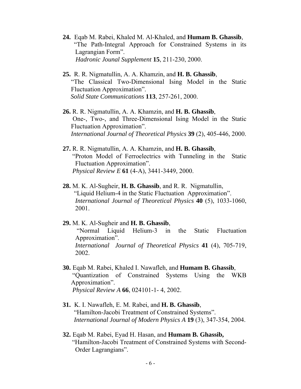- **24.** Eqab M. Rabei, Khaled M. Al-Khaled, and **Humam B. Ghassib**, "The Path-Integral Approach for Constrained Systems in its Lagrangian Form". *Hadronic Jounal Supplement* **15**, 211-230, 2000.
- **25.** R. R. Nigmatullin, A. A. Khamzin, and **H. B. Ghassib**, "The Classical Two-Dimensional Ising Model in the Static Fluctuation Approximation". *Solid State Communications* **113**, 257-261, 2000.
- **26.** R. R. Nigmatullin, A. A. Khamzin, and **H. B. Ghassib**, One-, Two-, and Three-Dimensional Ising Model in the Static Fluctuation Approximation". *International Journal of Theoretical Physics* **39** (2), 405-446, 2000.
- **27.** R. R. Nigmatullin, A. A. Khamzin, and **H. B. Ghassib**, "Proton Model of Ferroelectrics with Tunneling in the Static Fluctuation Approximation". *Physical Review E* **61** (4-A), 3441-3449, 2000.
- **28.** M. K. Al-Sugheir, **H. B. Ghassib**, and R. R. Nigmatullin, "Liquid Helium-4 in the Static Fluctuation Approximation". *International Journal of Theoretical Physics* **40** (5), 1033-1060, 2001.
- **29.** M. K. Al-Sugheir and **H. B. Ghassib**, "Normal Liquid Helium-3 in the Static Fluctuation Approximation". *International Journal of Theoretical Physics* **41** (4), 705-719, 2002.
- **30.** Eqab M. Rabei, Khaled I. Nawafleh, and **Humam B. Ghassib**, "Quantization of Constrained Systems Using the WKB Approximation". *Physical Review A* **66**, 024101-1- 4, 2002.
- **31.** K. I. Nawafleh, E. M. Rabei, and **H. B. Ghassib**, "Hamilton-Jacobi Treatment of Constrained Systems". *International Journal of Modern Physics A* **19** (3), 347-354, 2004.
- **32.** Eqab M. Rabei, Eyad H. Hasan, and **Humam B. Ghassib,** "Hamilton-Jacobi Treatment of Constrained Systems with Second-Order Lagrangians".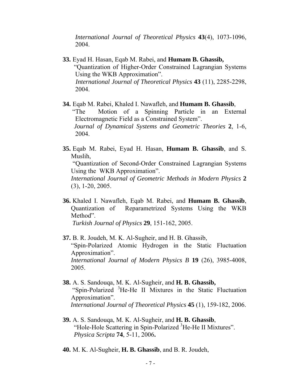*International Journal of Theoretical Physics* **43**(4), 1073-1096, 2004.

- **33.** Eyad H. Hasan, Eqab M. Rabei, and **Humam B. Ghassib,** "Quantization of Higher-Order Constrained Lagrangian Systems Using the WKB Approximation". *International Journal of Theoretical Physics* **43** (11), 2285-2298, 2004.
- **34.** Eqab M. Rabei, Khaled I. Nawafleh, and **Humam B. Ghassib**, "The Motion of a Spinning Particle in an External Electromagnetic Field as a Constrained System".  *Journal of Dynamical Systems and Geometric Theories* **2**, 1-6, 2004.
- **35.** Eqab M. Rabei, Eyad H. Hasan, **Humam B. Ghassib**, and S. Muslih, "Quantization of Second-Order Constrained Lagrangian Systems Using the WKB Approximation". *International Journal of Geometric Methods in Modern Physics* **2** (3), 1-20, 2005.
- **36.** Khaled I. Nawafleh, Eqab M. Rabei, and **Humam B. Ghassib**, Quantization of Reparametrized Systems Using the WKB Method".  *Turkish Journal of Physics* **29**, 151-162, 2005.
- **37.** B. R. Joudeh, M. K. Al-Sugheir, and H. B. Ghassib, "Spin-Polarized Atomic Hydrogen in the Static Fluctuation Approximation". *International Journal of Modern Physics B* **19** (26), 3985-4008, 2005.
- **38.** A. S. Sandouqa, M. K. Al-Sugheir, and **H. B. Ghassib,**  "Spin-Polarized <sup>3</sup>He-He II Mixtures in the Static Fluctuation Approximation". *International Journal of Theoretical Physics* **45** (1), 159-182, 2006.
- **39.** A. S. Sandouqa, M. K. Al-Sugheir, and **H. B. Ghassib**, "Hole-Hole Scattering in Spin-Polarized <sup>3</sup>He-He II Mixtures".  *Physica Scripta* **74**, 5-11, 2006**.**
- **40.** M. K. Al-Sugheir, **H. B. Ghassib**, and B. R. Joudeh,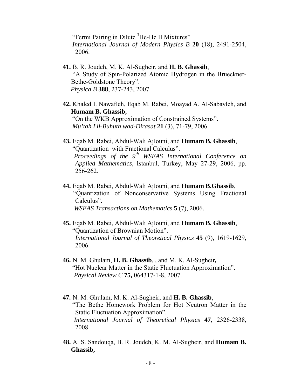"Fermi Pairing in Dilute <sup>3</sup>He-He II Mixtures". *International Journal of Modern Physics B* **20** (18), 2491-2504, 2006.

- **41.** B. R. Joudeh, M. K. Al-Sugheir, and **H. B. Ghassib**, "A Study of Spin-Polarized Atomic Hydrogen in the Brueckner-Bethe-Goldstone Theory". *Physica B* **388**, 237-243, 2007.
- **42.** Khaled I. Nawafleh, Eqab M. Rabei, Moayad A. Al-Sabayleh, and **Humam B. Ghassib,** "On the WKB Approximation of Constrained Systems".  *Mu'tah Lil-Buhuth wad-Dirasat* **21** (3), 71-79, 2006.
- **43.** Eqab M. Rabei, Abdul-Wali Ajlouni, and **Humam B. Ghassib**, "Quantization with Fractional Calculus".  *Proceedings of the 9th WSEAS International Conference on Applied Mathematics,* Istanbul, Turkey, May 27-29, 2006, pp. 256-262.
- **44.** Eqab M. Rabei, Abdul-Wali Ajlouni, and **Humam B.Ghassib**, "Quantization of Nonconservative Systems Using Fractional Calculus".  *WSEAS Transactions on Mathematics* **5** (7), 2006.
- **45.** Eqab M. Rabei, Abdul-Wali Ajlouni, and **Humam B. Ghassib**, "Quantization of Brownian Motion". *International Journal of Theoretical Physics* **45** (9), 1619-1629, 2006.
- **46.** N. M. Ghulam, **H. B. Ghassib**, , and M. K. Al-Sugheir**,** "Hot Nuclear Matter in the Static Fluctuation Approximation".  *Physical Review C* **75,** 064317-1-8, 2007.
- **47.** N. M. Ghulam, M. K. Al-Sugheir, and **H. B. Ghassib**, "The Bethe Homework Problem for Hot Neutron Matter in the Static Fluctuation Approximation". *International Journal of Theoretical Physics* **47**, 2326-2338, 2008.
- **48.** A. S. Sandouqa, B. R. Joudeh, K. M. Al-Sugheir, and **Humam B. Ghassib,**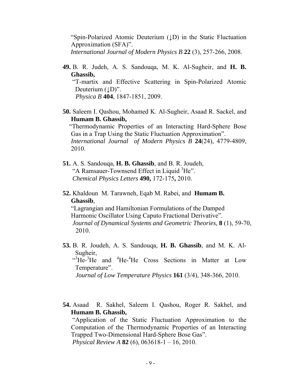"Spin-Polarized Atomic Deuterium (↓D) in the Static Fluctuation Approximation (SFA)". *International Journal of Modern Physics B* **22** (3), 257-266, 2008.

**49.** B. R. Judeh, A. S. Sandouqa, M. K. Al-Sugheir, and **H. B. Ghassib,**

 "T-martix and Effective Scattering in Spin-Polarized Atomic Deuterium  $(\downarrow)$ ". *Physica B* **404**, 1847-1851, 2009.

**50.** Saleem I. Qashou, Mohamed K. Al-Sugheir, Asaad R. Sackel, and **Humam B. Ghassib,** 

"Thermodynamic Properties of an Interacting Hard-Sphere Bose Gas in a Trap Using the Static Fluctuation Approximation".  *International Journal of Modern Physics B* **24**(24), 4779-4809, 2010.

- **51.** A. S. Sandouqa, **H. B. Ghassib**, and B. R. Joudeh, "A Ramsauer-Townsend Effect in Liquid <sup>3</sup>He". *Chemical Physics Letters* **490,** 172-175**,** 2010.
- **52.** Khaldoun M. Tarawneh, Eqab M. Rabei, and **Humam B. Ghassib**,

"Lagrangian and Hamiltonian Formulations of the Damped Harmonic Oscillator Using Caputo Fractional Derivative".  *Journal of Dynamical Systems and Geometric Theories*, **8** (1), 59-70, 2010.

- **53.** B. R. Joudeh, A. S. Sandouqa, **H. B. Ghassib**, and M. K. Al-Sugheir,  $^{4}$ He- $^{3}$ He and  $^{4}$ He- $^{4}$ He Cross Sections in Matter at Low Temperature". *Journal of Low Temperature Physics* **161** (3/4), 348-366, 2010.
- **54.** Asaad R. Sakhel, Saleem I. Qashou, Roger R. Sakhel, and **Humam B. Ghassib,**

 "Application of the Static Fluctuation Approximation to the Computation of the Thermodynamic Properties of an Interacting Trapped Two-Dimensional Hard-Sphere Bose Gas".  *Physical Review A* **82** (6), 063618-1 – 16, 2010.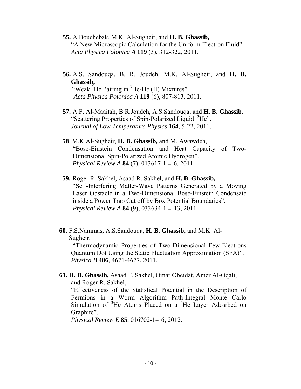- **55.** A Bouchebak, M.K. Al-Sugheir, and **H. B. Ghassib,** "A New Microscopic Calculation for the Uniform Electron Fluid". *Acta Physica Polonica A* **119** (3), 312-322, 2011.
- **56.** A.S. Sandouqa, B. R. Joudeh, M.K. Al-Sugheir, and **H. B. Ghassib,**  "Weak  ${}^{3}$ He Pairing in  ${}^{3}$ He-He (II) Mixtures".
	- *Acta Physica Polonica A* **119** (6), 807-813, 2011.
	- **57.** A.F. Al-Maaitah, B.R.Joudeh, A.S.Sandouqa, and **H. B. Ghassib,** "Scattering Properties of Spin-Polarized Liquid <sup>3</sup>He". *Journal of Low Temperature Physics* **164**, 5-22, 2011.
	- **58**. M.K.Al-Sugheir, **H. B. Ghassib,** and M. Awawdeh, "Bose-Einstein Condensation and Heat Capacity of Two-Dimensional Spin-Polarized Atomic Hydrogen".  *Physical Review A* **84** (7), 013617-1 ــ 6, 2011.
	- **59.** Roger R. Sakhel, Asaad R. Sakhel, and **H. B. Ghassib,**  "Self-Interfering Matter-Wave Patterns Generated by a Moving Laser Obstacle in a Two-Dimensional Bose-Einstein Condensate inside a Power Trap Cut off by Box Potential Boundaries". *Physical Review A* **84** (9), 033634-1 ــ 13, 2011.

 **60.** F.S.Nammas, A.S.Sandouqa, **H. B. Ghassib,** and M.K. Al- Sugheir,

 "Thermodynamic Properties of Two-Dimensional Few-Electrons Quantum Dot Using the Static Fluctuation Approximation (SFA)". *Physica B* **406**, 4671-4677, 2011.

**61. H. B. Ghassib,** Asaad F. Sakhel, Omar Obeidat, Amer Al-Oqali, and Roger R. Sakhel, "Effectiveness of the Statistical Potential in the Description of Fermions in a Worm Algorithm Path-Integral Monte Carlo Simulation of  ${}^{3}$ He Atoms Placed on a  ${}^{4}$ He Layer Adosrbed on Graphite".

*Physical Review E* **85**, 016702-1ــ 6, 2012.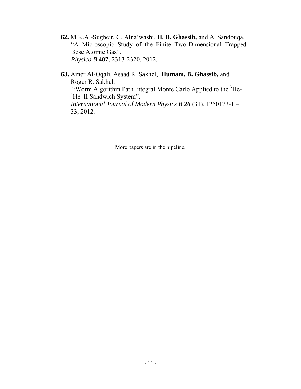- **62.** M.K.Al-Sugheir, G. Alna'washi, **H. B. Ghassib,** and A. Sandouqa, "A Microscopic Study of the Finite Two-Dimensional Trapped Bose Atomic Gas". *Physica B* **407**, 2313-2320, 2012.
- **63.** Amer Al-Oqali, Asaad R. Sakhel, **Humam. B. Ghassib,** and Roger R. Sakhel, "Worm Algorithm Path Integral Monte Carlo Applied to the <sup>3</sup>He-<sup>4</sup>He II Sandwich System". *International Journal of Modern Physics B 26* (31), 1250173-1 – 33, 2012.

[More papers are in the pipeline.]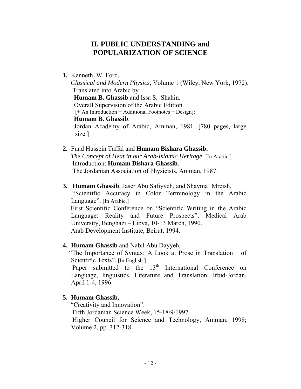# **II. PUBLIC UNDERSTANDING and POPULARIZATION OF SCIENCE**

**1.** Kenneth W. Ford,

 *Classical and Modern Physics*, Volume 1 (Wiley, New York, 1972). Translated into Arabic by  **Humam B. Ghassib** and Issa S. Shahin. Overall Supervision of the Arabic Edition [+ An Introduction + Additional Footnotes + Design]:  **Humam B. Ghassib**. Jordan Academy of Arabic, Amman, 1981. [780 pages, large size.]

- **2.** Fuad Hussein Taffal and **Humam Bishara Ghassib**, *The Concept of Heat in our Arab-Islamic Heritage*. [In Arabic.] Introduction: **Humam Bishara Ghassib**. The Jordanian Association of Physicists, Amman, 1987.
- **3. Humam Ghassib**, Jaser Abu Safiyyeh, and Shayma' Mreish, "Scientific Accuracy in Color Terminology in the Arabic Language". [In Arabic.] First Scientific Conference on "Scientific Writing in the Arabic Language: Reality and Future Prospects", Medical Arab University, Benghazi – Libya, 10-13 March, 1990. Arab Development Institute, Beirut, 1994.
- **4. Humam Ghassib** and Nabil Abu Dayyeh,

 "The Importance of Syntax: A Look at Prose in Translation of Scientific Texts". [In English.]

Paper submitted to the  $13<sup>th</sup>$  International Conference on Language, linguistics, Literature and Translation, Irbid-Jordan, April 1-4, 1996.

**5. Humam Ghassib,** 

"Creativity and Innovation".

Fifth Jordanian Science Week, 15-18/9/1997.

Higher Council for Science and Technology, Amman, 1998; Volume 2, pp. 312-318.